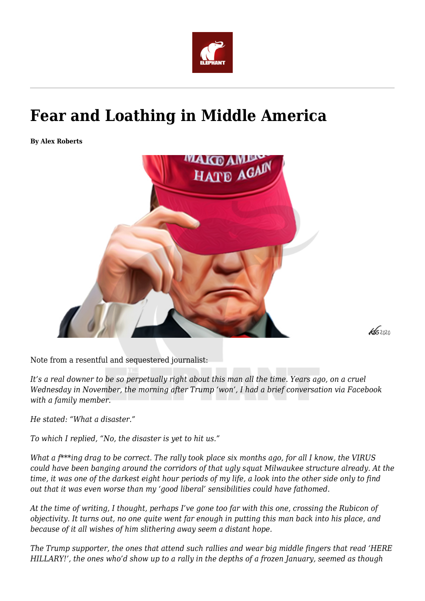

## **Fear and Loathing in Middle America**

**By Alex Roberts**



 $K$ 52020

Note from a resentful and sequestered journalist:

*It's a real downer to be so perpetually right about this man all the time. Years ago, on a cruel Wednesday in November, the morning after Trump 'won', I had a brief conversation via Facebook with a family member.*

*He stated: "What a disaster."*

*To which I replied, "No, the disaster is yet to hit us."*

*What a f\*\*\*ing drag to be correct. The rally took place six months ago, for all I know, the VIRUS could have been banging around the corridors of that ugly squat Milwaukee structure already. At the time, it was one of the darkest eight hour periods of my life, a look into the other side only to find out that it was even worse than my 'good liberal' sensibilities could have fathomed.*

*At the time of writing, I thought, perhaps I've gone too far with this one, crossing the Rubicon of objectivity. It turns out, no one quite went far enough in putting this man back into his place, and because of it all wishes of him slithering away seem a distant hope.*

*The Trump supporter, the ones that attend such rallies and wear big middle fingers that read 'HERE HILLARY!', the ones who'd show up to a rally in the depths of a frozen January, seemed as though*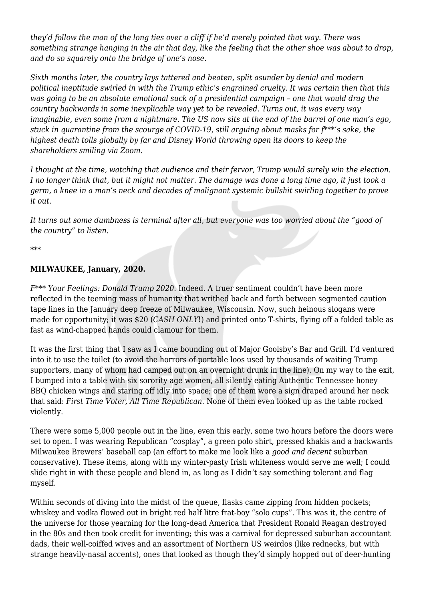*they'd follow the man of the long ties over a cliff if he'd merely pointed that way. There was something strange hanging in the air that day, like the feeling that the other shoe was about to drop, and do so squarely onto the bridge of one's nose.*

*Sixth months later, the country lays tattered and beaten, split asunder by denial and modern political ineptitude swirled in with the Trump ethic's engrained cruelty. It was certain then that this was going to be an absolute emotional suck of a presidential campaign – one that would drag the country backwards in some inexplicable way yet to be revealed. Turns out, it was every way imaginable, even some from a nightmare. The US now sits at the end of the barrel of one man's ego, stuck in quarantine from the scourge of COVID-19, still arguing about masks for f\*\*\*'s sake, the highest death tolls globally by far and Disney World throwing open its doors to keep the shareholders smiling via Zoom.*

*I thought at the time, watching that audience and their fervor, Trump would surely win the election. I no longer think that, but it might not matter. The damage was done a long time ago, it just took a germ, a knee in a man's neck and decades of malignant systemic bullshit swirling together to prove it out.*

*It turns out some dumbness is terminal after all, but everyone was too worried about the "good of the country" to listen.*

*\*\*\**

## **MILWAUKEE, January, 2020.**

*F\*\*\* Your Feelings: Donald Trump 2020.* Indeed. A truer sentiment couldn't have been more reflected in the teeming mass of humanity that writhed back and forth between segmented caution tape lines in the January deep freeze of Milwaukee, Wisconsin. Now, such heinous slogans were made for opportunity; it was \$20 (*CASH ONLY*!) and printed onto T-shirts, flying off a folded table as fast as wind-chapped hands could clamour for them.

It was the first thing that I saw as I came bounding out of Major Goolsby's Bar and Grill. I'd ventured into it to use the toilet (to avoid the horrors of portable loos used by thousands of waiting Trump supporters, many of whom had camped out on an overnight drunk in the line). On my way to the exit, I bumped into a table with six sorority age women, all silently eating Authentic Tennessee honey BBQ chicken wings and staring off idly into space; one of them wore a sign draped around her neck that said: *First Time Voter, All Time Republican.* None of them even looked up as the table rocked violently.

There were some 5,000 people out in the line, even this early, some two hours before the doors were set to open. I was wearing Republican "cosplay", a green polo shirt, pressed khakis and a backwards Milwaukee Brewers' baseball cap (an effort to make me look like a *good and decent* suburban conservative). These items, along with my winter-pasty Irish whiteness would serve me well; I could slide right in with these people and blend in, as long as I didn't say something tolerant and flag myself.

Within seconds of diving into the midst of the queue, flasks came zipping from hidden pockets; whiskey and vodka flowed out in bright red half litre frat-boy "solo cups". This was it, the centre of the universe for those yearning for the long-dead America that President Ronald Reagan destroyed in the 80s and then took credit for inventing; this was a carnival for depressed suburban accountant dads, their well-coiffed wives and an assortment of Northern US weirdos (like rednecks, but with strange heavily-nasal accents), ones that looked as though they'd simply hopped out of deer-hunting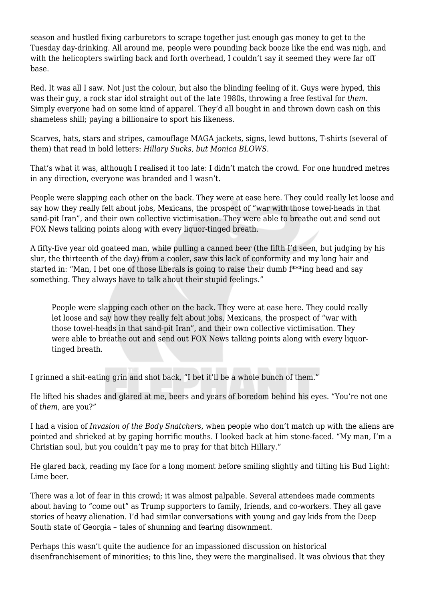season and hustled fixing carburetors to scrape together just enough gas money to get to the Tuesday day-drinking. All around me, people were pounding back booze like the end was nigh, and with the helicopters swirling back and forth overhead, I couldn't say it seemed they were far off base.

Red. It was all I saw. Not just the colour, but also the blinding feeling of it. Guys were hyped, this was their guy, a rock star idol straight out of the late 1980s, throwing a free festival for *them*. Simply everyone had on some kind of apparel. They'd all bought in and thrown down cash on this shameless shill; paying a billionaire to sport his likeness.

Scarves, hats, stars and stripes, camouflage MAGA jackets, signs, lewd buttons, T-shirts (several of them) that read in bold letters: *Hillary Sucks, but Monica BLOWS.*

That's what it was, although I realised it too late: I didn't match the crowd. For one hundred metres in any direction, everyone was branded and I wasn't.

People were slapping each other on the back. They were at ease here. They could really let loose and say how they really felt about jobs, Mexicans, the prospect of "war with those towel-heads in that sand-pit Iran", and their own collective victimisation. They were able to breathe out and send out FOX News talking points along with every liquor-tinged breath.

A fifty-five year old goateed man, while pulling a canned beer (the fifth I'd seen, but judging by his slur, the thirteenth of the day) from a cooler, saw this lack of conformity and my long hair and started in: "Man, I bet one of those liberals is going to raise their dumb  $f^{***}$ ing head and say something. They always have to talk about their stupid feelings."

People were slapping each other on the back. They were at ease here. They could really let loose and say how they really felt about jobs, Mexicans, the prospect of "war with those towel-heads in that sand-pit Iran", and their own collective victimisation. They were able to breathe out and send out FOX News talking points along with every liquortinged breath.

I grinned a shit-eating grin and shot back, "I bet it'll be a whole bunch of them."

He lifted his shades and glared at me, beers and years of boredom behind his eyes. "You're not one of *them*, are you?"

I had a vision of *Invasion of the Body Snatchers*, when people who don't match up with the aliens are pointed and shrieked at by gaping horrific mouths. I looked back at him stone-faced. "My man, I'm a Christian soul, but you couldn't pay me to pray for that bitch Hillary."

He glared back, reading my face for a long moment before smiling slightly and tilting his Bud Light: Lime beer.

There was a lot of fear in this crowd; it was almost palpable. Several attendees made comments about having to "come out" as Trump supporters to family, friends, and co-workers. They all gave stories of heavy alienation. I'd had similar conversations with young and gay kids from the Deep South state of Georgia – tales of shunning and fearing disownment.

Perhaps this wasn't quite the audience for an impassioned discussion on historical disenfranchisement of minorities; to this line, they were the marginalised. It was obvious that they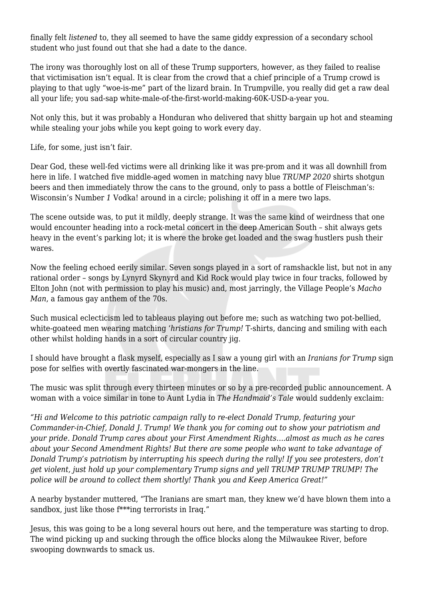finally felt *listened* to, they all seemed to have the same giddy expression of a secondary school student who just found out that she had a date to the dance.

The irony was thoroughly lost on all of these Trump supporters, however, as they failed to realise that victimisation isn't equal. It is clear from the crowd that a chief principle of a Trump crowd is playing to that ugly "woe-is-me" part of the lizard brain. In Trumpville, you really did get a raw deal all your life; you sad-sap white-male-of-the-first-world-making-60K-USD-a-year you.

Not only this, but it was probably a Honduran who delivered that shitty bargain up hot and steaming while stealing your jobs while you kept going to work every day.

Life, for some, just isn't fair.

Dear God, these well-fed victims were all drinking like it was pre-prom and it was all downhill from here in life. I watched five middle-aged women in matching navy blue *TRUMP 2020* shirts shotgun beers and then immediately throw the cans to the ground, only to pass a bottle of Fleischman's: Wisconsin's Number 1 Vodka! around in a circle; polishing it off in a mere two laps.

The scene outside was, to put it mildly, deeply strange. It was the same kind of weirdness that one would encounter heading into a rock-metal concert in the deep American South – shit always gets heavy in the event's parking lot; it is where the broke get loaded and the swag hustlers push their wares.

Now the feeling echoed eerily similar. Seven songs played in a sort of ramshackle list, but not in any rational order – songs by Lynyrd Skynyrd and Kid Rock would play twice in four tracks, followed by Elton John (not with permission to play his music) and, most jarringly, the Village People's *Macho Man*, a famous gay anthem of the 70s.

Such musical eclecticism led to tableaus playing out before me; such as watching two pot-bellied, white-goateed men wearing matching '*hristians for Trump!* T-shirts, dancing and smiling with each other whilst holding hands in a sort of circular country jig.

I should have brought a flask myself, especially as I saw a young girl with an *Iranians for Trump* sign pose for selfies with overtly fascinated war-mongers in the line.

The music was split through every thirteen minutes or so by a pre-recorded public announcement. A woman with a voice similar in tone to Aunt Lydia in *The Handmaid's Tale* would suddenly exclaim:

*"Hi and Welcome to this patriotic campaign rally to re-elect Donald Trump, featuring your Commander-in-Chief, Donald J. Trump! We thank you for coming out to show your patriotism and your pride. Donald Trump cares about your First Amendment Rights….almost as much as he cares about your Second Amendment Rights! But there are some people who want to take advantage of Donald Trump's patriotism by interrupting his speech during the rally! If you see protesters, don't get violent, just hold up your complementary Trump signs and yell TRUMP TRUMP TRUMP! The police will be around to collect them shortly! Thank you and Keep America Great!"*

A nearby bystander muttered, "The Iranians are smart man, they knew we'd have blown them into a sandbox, just like those f\*\*\*ing terrorist*s* in Iraq."

Jesus, this was going to be a long several hours out here, and the temperature was starting to drop. The wind picking up and sucking through the office blocks along the Milwaukee River, before swooping downwards to smack us.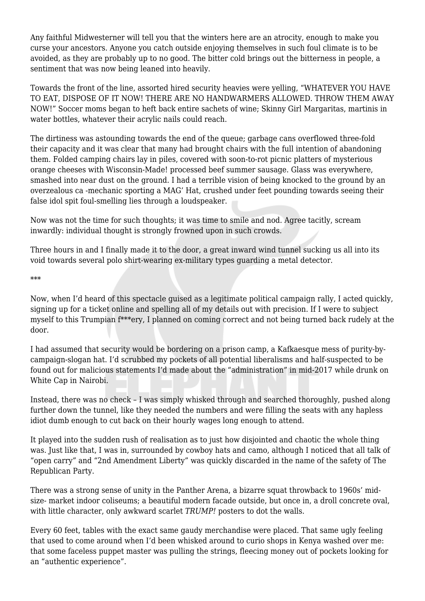Any faithful Midwesterner will tell you that the winters here are an atrocity, enough to make you curse your ancestors. Anyone you catch outside enjoying themselves in such foul climate is to be avoided, as they are probably up to no good. The bitter cold brings out the bitterness in people, a sentiment that was now being leaned into heavily.

Towards the front of the line, assorted hired security heavies were yelling, "WHATEVER YOU HAVE TO EAT, DISPOSE OF IT NOW! THERE ARE NO HANDWARMERS ALLOWED. THROW THEM AWAY NOW!" Soccer moms began to heft back entire sachets of wine; Skinny Girl Margaritas, martinis in water bottles, whatever their acrylic nails could reach.

The dirtiness was astounding towards the end of the queue; garbage cans overflowed three-fold their capacity and it was clear that many had brought chairs with the full intention of abandoning them. Folded camping chairs lay in piles, covered with soon-to-rot picnic platters of mysterious orange cheeses with Wisconsin-Made! processed beef summer sausage. Glass was everywhere, smashed into near dust on the ground. I had a terrible vision of being knocked to the ground by an overzealous ca -mechanic sporting a MAG' Hat, crushed under feet pounding towards seeing their false idol spit foul-smelling lies through a loudspeaker.

Now was not the time for such thoughts; it was time to smile and nod. Agree tacitly, scream inwardly: individual thought is strongly frowned upon in such crowds.

Three hours in and I finally made it to the door, a great inward wind tunnel sucking us all into its void towards several polo shirt-wearing ex-military types guarding a metal detector.

\*\*\*

Now, when I'd heard of this spectacle guised as a legitimate political campaign rally, I acted quickly, signing up for a ticket online and spelling all of my details out with precision. If I were to subject myself to this Trumpian f\*\*\*ery, I planned on coming correct and not being turned back rudely at the door.

I had assumed that security would be bordering on a prison camp, a Kafkaesque mess of purity-bycampaign-slogan hat. I'd scrubbed my pockets of all potential liberalisms and half-suspected to be found out for malicious statements I'd made about the "administration" in mid-2017 while drunk on White Cap in Nairobi.

Instead, there was no check – I was simply whisked through and searched thoroughly, pushed along further down the tunnel, like they needed the numbers and were filling the seats with any hapless idiot dumb enough to cut back on their hourly wages long enough to attend.

It played into the sudden rush of realisation as to just how disjointed and chaotic the whole thing was. Just like that, I was in, surrounded by cowboy hats and camo, although I noticed that all talk of "open carry" and "2nd Amendment Liberty" was quickly discarded in the name of the safety of The Republican Party.

There was a strong sense of unity in the Panther Arena, a bizarre squat throwback to 1960s' midsize- market indoor coliseums; a beautiful modern facade outside, but once in, a droll concrete oval, with little character, only awkward scarlet *TRUMP!* posters to dot the walls.

Every 60 feet, tables with the exact same gaudy merchandise were placed. That same ugly feeling that used to come around when I'd been whisked around to curio shops in Kenya washed over me: that some faceless puppet master was pulling the strings, fleecing money out of pockets looking for an "authentic experience".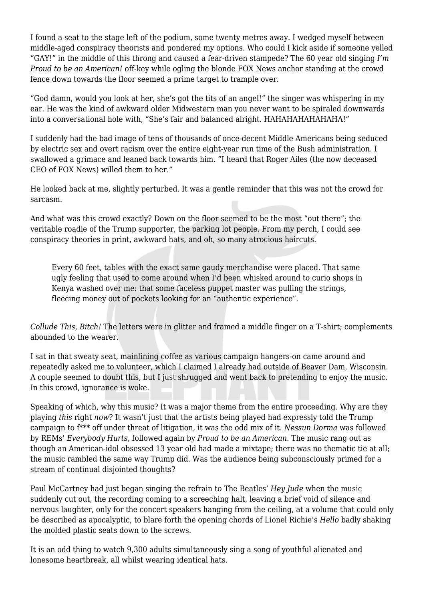I found a seat to the stage left of the podium, some twenty metres away. I wedged myself between middle-aged conspiracy theorists and pondered my options. Who could I kick aside if someone yelled "GAY!" in the middle of this throng and caused a fear-driven stampede? The 60 year old singing *I'm Proud to be an American!* off-key while ogling the blonde FOX News anchor standing at the crowd fence down towards the floor seemed a prime target to trample over.

"God damn, would you look at her, she's got the tits of an angel!" the singer was whispering in my ear. He was the kind of awkward older Midwestern man you never want to be spiraled downwards into a conversational hole with, "She's fair and balanced alright. HAHAHAHAHAHAHA!"

I suddenly had the bad image of tens of thousands of once-decent Middle Americans being seduced by electric sex and overt racism over the entire eight-year run time of the Bush administration. I swallowed a grimace and leaned back towards him. "I heard that Roger Ailes (the now deceased CEO of FOX News) willed them to her."

He looked back at me, slightly perturbed. It was a gentle reminder that this was not the crowd for sarcasm.

And what was this crowd exactly? Down on the floor seemed to be the most "out there"; the veritable roadie of the Trump supporter, the parking lot people. From my perch, I could see conspiracy theories in print, awkward hats, and oh, so many atrocious haircuts.

Every 60 feet, tables with the exact same gaudy merchandise were placed. That same ugly feeling that used to come around when I'd been whisked around to curio shops in Kenya washed over me: that some faceless puppet master was pulling the strings, fleecing money out of pockets looking for an "authentic experience".

*Collude This, Bitch!* The letters were in glitter and framed a middle finger on a T-shirt; complements abounded to the wearer.

I sat in that sweaty seat, mainlining coffee as various campaign hangers-on came around and repeatedly asked me to volunteer, which I claimed I already had outside of Beaver Dam, Wisconsin. A couple seemed to doubt this, but I just shrugged and went back to pretending to enjoy the music. In this crowd, ignorance is woke.

Speaking of which, why this music? It was a major theme from the entire proceeding. Why are they playing *this* right *now*? It wasn't just that the artists being played had expressly told the Trump campaign to f\*\*\* off under threat of litigation, it was the odd mix of it. *Nessun Dorma* was followed by REMs' *Everybody Hurts*, followed again by *Proud to be an American*. The music rang out as though an American-idol obsessed 13 year old had made a mixtape; there was no thematic tie at all; the music rambled the same way Trump did. Was the audience being subconsciously primed for a stream of continual disjointed thoughts?

Paul McCartney had just began singing the refrain to The Beatles' *Hey Jude* when the music suddenly cut out, the recording coming to a screeching halt, leaving a brief void of silence and nervous laughter, only for the concert speakers hanging from the ceiling, at a volume that could only be described as apocalyptic, to blare forth the opening chords of Lionel Richie's *Hello* badly shaking the molded plastic seats down to the screws.

It is an odd thing to watch 9,300 adults simultaneously sing a song of youthful alienated and lonesome heartbreak, all whilst wearing identical hats.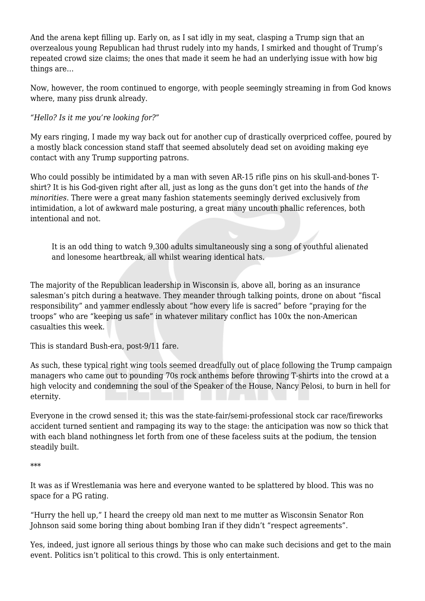And the arena kept filling up. Early on, as I sat idly in my seat, clasping a Trump sign that an overzealous young Republican had thrust rudely into my hands, I smirked and thought of Trump's repeated crowd size claims; the ones that made it seem he had an underlying issue with how big things are…

Now, however, the room continued to engorge, with people seemingly streaming in from God knows where, many piss drunk already.

*"Hello? Is it me you're looking for?"*

My ears ringing, I made my way back out for another cup of drastically overpriced coffee, poured by a mostly black concession stand staff that seemed absolutely dead set on avoiding making eye contact with any Trump supporting patrons.

Who could possibly be intimidated by a man with seven AR-15 rifle pins on his skull-and-bones Tshirt? It is his God-given right after all, just as long as the guns don't get into the hands of *the minorities*. There were a great many fashion statements seemingly derived exclusively from intimidation, a lot of awkward male posturing, a great many uncouth phallic references, both intentional and not.

It is an odd thing to watch 9,300 adults simultaneously sing a song of youthful alienated and lonesome heartbreak, all whilst wearing identical hats.

The majority of the Republican leadership in Wisconsin is, above all, boring as an insurance salesman's pitch during a heatwave. They meander through talking points, drone on about "fiscal responsibility" and yammer endlessly about "how every life is sacred" before "praying for the troops" who are "keeping us safe" in whatever military conflict has 100x the non-American casualties this week.

This is standard Bush-era, post-9/11 fare.

As such, these typical right wing tools seemed dreadfully out of place following the Trump campaign managers who came out to pounding 70s rock anthems before throwing T-shirts into the crowd at a high velocity and condemning the soul of the Speaker of the House, Nancy Pelosi, to burn in hell for eternity.

Everyone in the crowd sensed it; this was the state-fair/semi-professional stock car race/fireworks accident turned sentient and rampaging its way to the stage: the anticipation was now so thick that with each bland nothingness let forth from one of these faceless suits at the podium, the tension steadily built.

\*\*\*

It was as if Wrestlemania was here and everyone wanted to be splattered by blood. This was no space for a PG rating.

"Hurry the hell up," I heard the creepy old man next to me mutter as Wisconsin Senator Ron Johnson said some boring thing about bombing Iran if they didn't "respect agreements".

Yes, indeed, just ignore all serious things by those who can make such decisions and get to the main event. Politics isn't political to this crowd. This is only entertainment.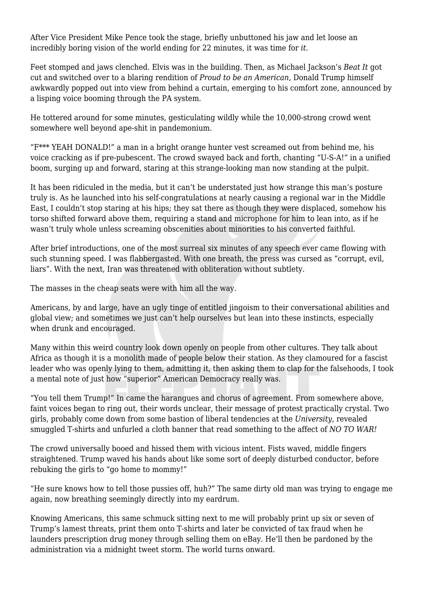After Vice President Mike Pence took the stage, briefly unbuttoned his jaw and let loose an incredibly boring vision of the world ending for 22 minutes, it was time for *it*.

Feet stomped and jaws clenched. Elvis was in the building. Then, as Michael Jackson's *Beat It* got cut and switched over to a blaring rendition of *Proud to be an American*, Donald Trump himself awkwardly popped out into view from behind a curtain, emerging to his comfort zone, announced by a lisping voice booming through the PA system.

He tottered around for some minutes, gesticulating wildly while the 10,000-strong crowd went somewhere well beyond ape-shit in pandemonium.

"F\*\*\* YEAH DONALD!" a man in a bright orange hunter vest screamed out from behind me, his voice cracking as if pre-pubescent. The crowd swayed back and forth, chanting "U-S-A!" in a unified boom, surging up and forward, staring at this strange-looking man now standing at the pulpit.

It has been ridiculed in the media, but it can't be understated just how strange this man's posture truly is. As he launched into his self-congratulations at nearly causing a regional war in the Middle East, I couldn't stop staring at his hips; they sat there as though they were displaced, somehow his torso shifted forward above them, requiring a stand and microphone for him to lean into, as if he wasn't truly whole unless screaming obscenities about minorities to his converted faithful.

After brief introductions, one of the most surreal six minutes of any speech ever came flowing with such stunning speed. I was flabbergasted. With one breath, the press was cursed as "corrupt, evil, liars". With the next, Iran was threatened with obliteration without subtlety.

The masses in the cheap seats were with him all the way.

Americans, by and large, have an ugly tinge of entitled jingoism to their conversational abilities and global view; and sometimes we just can't help ourselves but lean into these instincts, especially when drunk and encouraged.

Many within this weird country look down openly on people from other cultures. They talk about Africa as though it is a monolith made of people below their station. As they clamoured for a fascist leader who was openly lying to them, admitting it, then asking them to clap for the falsehoods, I took a mental note of just how "superior" American Democracy really was.

"You tell them Trump!" In came the harangues and chorus of agreement. From somewhere above, faint voices began to ring out, their words unclear, their message of protest practically crystal. Two girls, probably come down from some bastion of liberal tendencies at the *University*, revealed smuggled T-shirts and unfurled a cloth banner that read something to the affect of *NO TO WAR!*

The crowd universally booed and hissed them with vicious intent. Fists waved, middle fingers straightened. Trump waved his hands about like some sort of deeply disturbed conductor, before rebuking the girls to "go home to mommy!"

"He sure knows how to tell those pussies off, huh?" The same dirty old man was trying to engage me again, now breathing seemingly directly into my eardrum.

Knowing Americans, this same schmuck sitting next to me will probably print up six or seven of Trump's lamest threats, print them onto T-shirts and later be convicted of tax fraud when he launders prescription drug money through selling them on eBay. He'll then be pardoned by the administration via a midnight tweet storm. The world turns onward.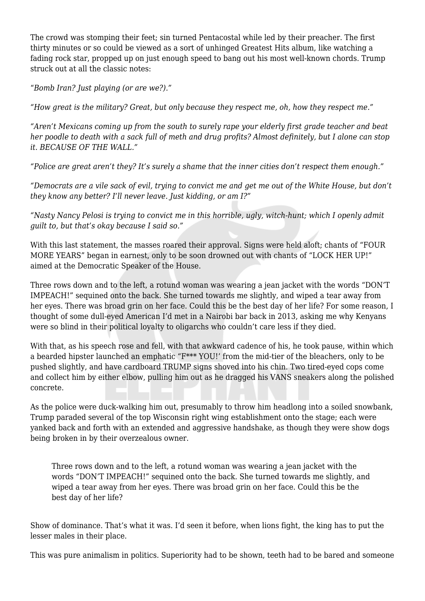The crowd was stomping their feet; sin turned Pentacostal while led by their preacher. The first thirty minutes or so could be viewed as a sort of unhinged Greatest Hits album, like watching a fading rock star, propped up on just enough speed to bang out his most well-known chords. Trump struck out at all the classic notes:

"*Bomb Iran? Just playing (or are we?)."*

*"How great is the military? Great, but only because they respect me, oh, how they respect me."*

*"Aren't Mexicans coming up from the south to surely rape your elderly first grade teacher and beat her poodle to death with a sack full of meth and drug profits? Almost definitely, but I alone can stop it. BECAUSE OF THE WALL."*

*"Police are great aren't they? It's surely a shame that the inner cities don't respect them enough."*

*"Democrats are a vile sack of evil, trying to convict me and get me out of the White House, but don't they know any better? I'll never leave. Just kidding, or am I?"*

*"Nasty Nancy Pelosi is trying to convict me in this horrible, ugly, witch-hunt; which I openly admit guilt to, but that's okay because I said so."*

With this last statement, the masses roared their approval. Signs were held aloft; chants of "FOUR MORE YEARS" began in earnest, only to be soon drowned out with chants of "LOCK HER UP!" aimed at the Democratic Speaker of the House.

Three rows down and to the left, a rotund woman was wearing a jean jacket with the words "DON'T IMPEACH!" sequined onto the back. She turned towards me slightly, and wiped a tear away from her eyes. There was broad grin on her face. Could this be the best day of her life? For some reason, I thought of some dull-eyed American I'd met in a Nairobi bar back in 2013, asking me why Kenyans were so blind in their political loyalty to oligarchs who couldn't care less if they died.

With that, as his speech rose and fell, with that awkward cadence of his, he took pause, within which a bearded hipster launched an emphatic "F\*\*\* YOU!' from the mid-tier of the bleachers, only to be pushed slightly, and have cardboard TRUMP signs shoved into his chin. Two tired-eyed cops come and collect him by either elbow, pulling him out as he dragged his VANS sneakers along the polished concrete.

As the police were duck-walking him out, presumably to throw him headlong into a soiled snowbank, Trump paraded several of the top Wisconsin right wing establishment onto the stage; each were yanked back and forth with an extended and aggressive handshake, as though they were show dogs being broken in by their overzealous owner.

Three rows down and to the left, a rotund woman was wearing a jean jacket with the words "DON'T IMPEACH!" sequined onto the back. She turned towards me slightly, and wiped a tear away from her eyes. There was broad grin on her face. Could this be the best day of her life?

Show of dominance. That's what it was. I'd seen it before, when lions fight, the king has to put the lesser males in their place.

This was pure animalism in politics. Superiority had to be shown, teeth had to be bared and someone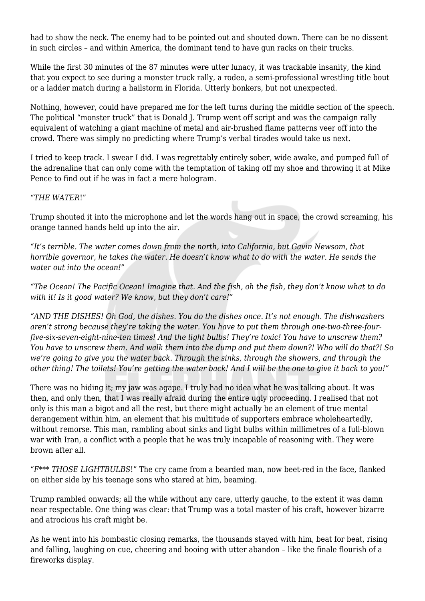had to show the neck. The enemy had to be pointed out and shouted down. There can be no dissent in such circles – and within America, the dominant tend to have gun racks on their trucks.

While the first 30 minutes of the 87 minutes were utter lunacy, it was trackable insanity, the kind that you expect to see during a monster truck rally, a rodeo, a semi-professional wrestling title bout or a ladder match during a hailstorm in Florida. Utterly bonkers, but not unexpected.

Nothing, however, could have prepared me for the left turns during the middle section of the speech. The political "monster truck" that is Donald J. Trump went off script and was the campaign rally equivalent of watching a giant machine of metal and air-brushed flame patterns veer off into the crowd. There was simply no predicting where Trump's verbal tirades would take us next.

I tried to keep track. I swear I did. I was regrettably entirely sober, wide awake, and pumped full of the adrenaline that can only come with the temptation of taking off my shoe and throwing it at Mike Pence to find out if he was in fact a mere hologram.

## "*THE WATER*!"

Trump shouted it into the microphone and let the words hang out in space, the crowd screaming, his orange tanned hands held up into the air.

*"It's terrible. The water comes down from the north, into California, but Gavin Newsom, that horrible governor, he takes the water. He doesn't know what to do with the water. He sends the water out into the ocean!"*

*"The Ocean! The Pacific Ocean! Imagine that. And the fish, oh the fish, they don't know what to do with it! Is it good water? We know, but they don't care!"*

*"AND THE DISHES! Oh God, the dishes. You do the dishes once. It's not enough. The dishwashers aren't strong because they're taking the water. You have to put them through one-two-three-fourfive-six-seven-eight-nine-ten times! And the light bulbs! They're toxic! You have to unscrew them? You have to unscrew them. And walk them into the dump and put them down?! Who will do that?! So we're going to give you the water back. Through the sinks, through the showers, and through the other thing! The toilets! You're getting the water back! And I will be the one to give it back to you!"*

There was no hiding it; my jaw was agape. I truly had no idea what he was talking about. It was then, and only then, that I was really afraid during the entire ugly proceeding. I realised that not only is this man a bigot and all the rest, but there might actually be an element of true mental derangement within him, an element that his multitude of supporters embrace wholeheartedly, without remorse. This man, rambling about sinks and light bulbs within millimetres of a full-blown war with Iran, a conflict with a people that he was truly incapable of reasoning with. They were brown after all.

"*F\*\*\* THOSE LIGHTBULBS*!" The cry came from a bearded man, now beet-red in the face, flanked on either side by his teenage sons who stared at him, beaming.

Trump rambled onwards; all the while without any care, utterly gauche, to the extent it was damn near respectable. One thing was clear: that Trump was a total master of his craft, however bizarre and atrocious his craft might be.

As he went into his bombastic closing remarks, the thousands stayed with him, beat for beat, rising and falling, laughing on cue, cheering and booing with utter abandon – like the finale flourish of a fireworks display.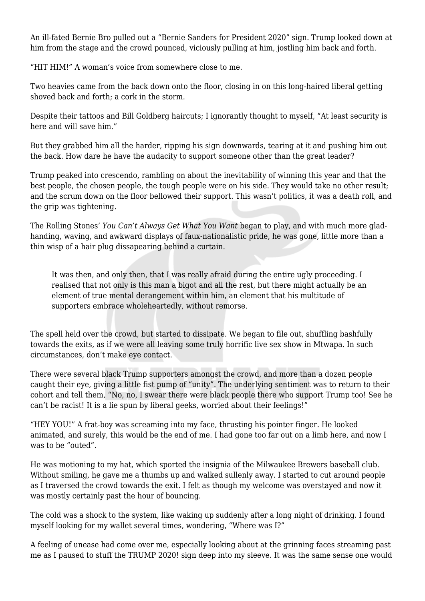An ill-fated Bernie Bro pulled out a "Bernie Sanders for President 2020" sign. Trump looked down at him from the stage and the crowd pounced, viciously pulling at him, jostling him back and forth.

"HIT HIM!" A woman's voice from somewhere close to me.

Two heavies came from the back down onto the floor, closing in on this long-haired liberal getting shoved back and forth; a cork in the storm.

Despite their tattoos and Bill Goldberg haircuts; I ignorantly thought to myself, "At least security is here and will save him."

But they grabbed him all the harder, ripping his sign downwards, tearing at it and pushing him out the back. How dare he have the audacity to support someone other than the great leader?

Trump peaked into crescendo, rambling on about the inevitability of winning this year and that the best people, the chosen people, the tough people were on his side. They would take no other result; and the scrum down on the floor bellowed their support. This wasn't politics, it was a death roll, and the grip was tightening.

The Rolling Stones' *You Can't Always Get What You Want* began to play, and with much more gladhanding, waving, and awkward displays of faux-nationalistic pride, he was gone, little more than a thin wisp of a hair plug dissapearing behind a curtain.

It was then, and only then, that I was really afraid during the entire ugly proceeding. I realised that not only is this man a bigot and all the rest, but there might actually be an element of true mental derangement within him, an element that his multitude of supporters embrace wholeheartedly, without remorse.

The spell held over the crowd, but started to dissipate. We began to file out, shuffling bashfully towards the exits, as if we were all leaving some truly horrific live sex show in Mtwapa. In such circumstances, don't make eye contact.

There were several black Trump supporters amongst the crowd, and more than a dozen people caught their eye, giving a little fist pump of "unity". The underlying sentiment was to return to their cohort and tell them, "No, no, I swear there were black people there who support Trump too! See he can't be racist! It is a lie spun by liberal geeks, worried about their feelings!"

"HEY YOU!" A frat-boy was screaming into my face, thrusting his pointer finger. He looked animated, and surely, this would be the end of me. I had gone too far out on a limb here, and now I was to be "outed".

He was motioning to my hat, which sported the insignia of the Milwaukee Brewers baseball club. Without smiling, he gave me a thumbs up and walked sullenly away. I started to cut around people as I traversed the crowd towards the exit. I felt as though my welcome was overstayed and now it was mostly certainly past the hour of bouncing.

The cold was a shock to the system, like waking up suddenly after a long night of drinking. I found myself looking for my wallet several times, wondering, "Where was I?"

A feeling of unease had come over me, especially looking about at the grinning faces streaming past me as I paused to stuff the TRUMP 2020! sign deep into my sleeve. It was the same sense one would